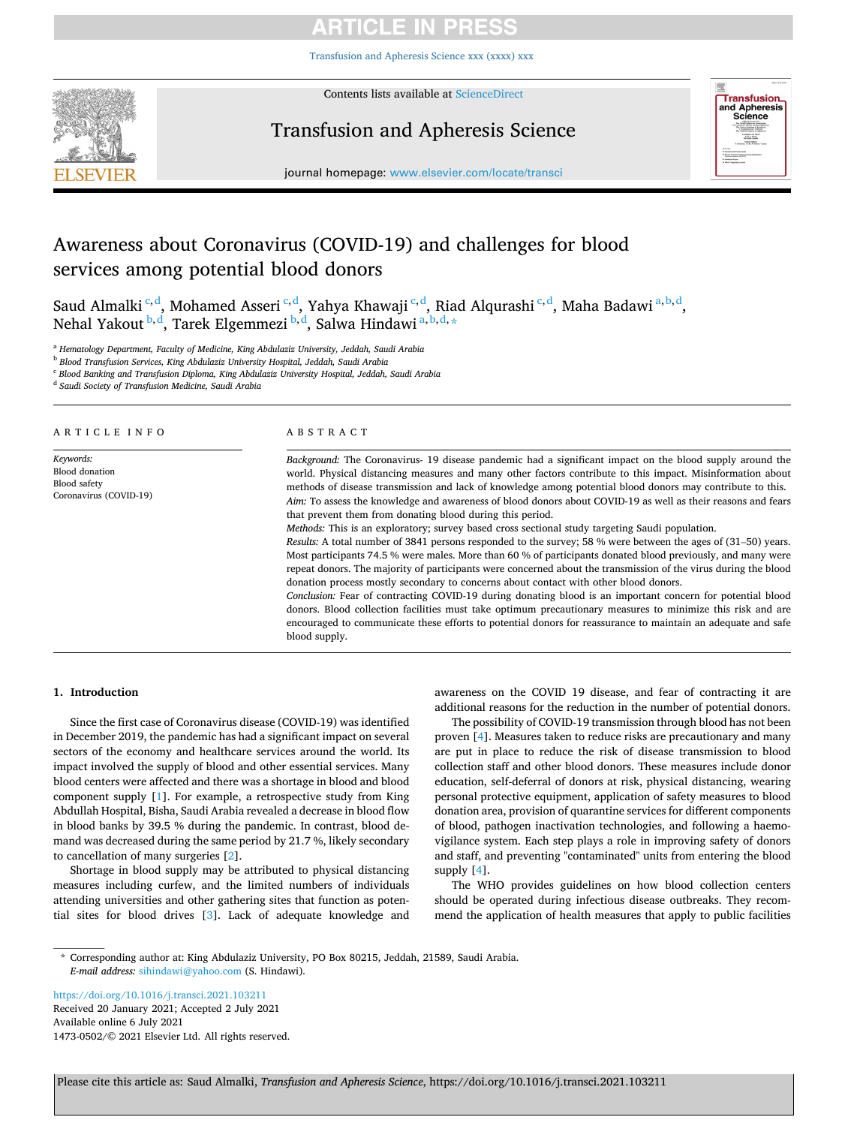# **ARTICLE IN PRES**

[Transfusion and Apheresis Science xxx \(xxxx\) xxx](https://doi.org/10.1016/j.transci.2021.103211)



Contents lists available at [ScienceDirect](www.sciencedirect.com/science/journal/14730502)

# Transfusion and Apheresis Science



journal homepage: [www.elsevier.com/locate/transci](https://www.elsevier.com/locate/transci) 

# Awareness about Coronavirus (COVID-19) and challenges for blood services among potential blood donors

Saud Almalki <sup>c,d</sup>, Mohamed Asseri <sup>c,d</sup>, Yahya Khawaji <sup>c,d</sup>, Riad Alqurashi <sup>c,d</sup>, Maha Badawi <sup>a,b,d</sup>, Nehal Yakout  $^{\text{b,d}},$  Tarek Elgemmezi  $^{\text{b,d}},$  Salwa Hindawi  $^{\text{a,b,d},\ast}$ 

<sup>a</sup> *Hematology Department, Faculty of Medicine, King Abdulaziz University, Jeddah, Saudi Arabia* 

<sup>b</sup> *Blood Transfusion Services, King Abdulaziz University Hospital, Jeddah, Saudi Arabia* 

<sup>c</sup> *Blood Banking and Transfusion Diploma, King Abdulaziz University Hospital, Jeddah, Saudi Arabia* 

<sup>d</sup> *Saudi Society of Transfusion Medicine, Saudi Arabia* 

ARTICLE INFO

*Keywords:*  Blood donation Blood safety Coronavirus (COVID-19)

# ABSTRACT

*Background:* The Coronavirus- 19 disease pandemic had a significant impact on the blood supply around the world. Physical distancing measures and many other factors contribute to this impact. Misinformation about methods of disease transmission and lack of knowledge among potential blood donors may contribute to this. *Aim:* To assess the knowledge and awareness of blood donors about COVID-19 as well as their reasons and fears that prevent them from donating blood during this period.

*Methods:* This is an exploratory; survey based cross sectional study targeting Saudi population.

*Results:* A total number of 3841 persons responded to the survey; 58 % were between the ages of (31–50) years. Most participants 74.5 % were males. More than 60 % of participants donated blood previously, and many were repeat donors. The majority of participants were concerned about the transmission of the virus during the blood donation process mostly secondary to concerns about contact with other blood donors.

*Conclusion:* Fear of contracting COVID-19 during donating blood is an important concern for potential blood donors. Blood collection facilities must take optimum precautionary measures to minimize this risk and are encouraged to communicate these efforts to potential donors for reassurance to maintain an adequate and safe blood supply.

# **1. Introduction**

Since the first case of Coronavirus disease (COVID-19) was identified in December 2019, the pandemic has had a significant impact on several sectors of the economy and healthcare services around the world. Its impact involved the supply of blood and other essential services. Many blood centers were affected and there was a shortage in blood and blood component supply [\[1\]](#page-4-0). For example, a retrospective study from King Abdullah Hospital, Bisha, Saudi Arabia revealed a decrease in blood flow in blood banks by 39.5 % during the pandemic. In contrast, blood demand was decreased during the same period by 21.7 %, likely secondary to cancellation of many surgeries [[2](#page-4-0)].

Shortage in blood supply may be attributed to physical distancing measures including curfew, and the limited numbers of individuals attending universities and other gathering sites that function as potential sites for blood drives [[3](#page-4-0)]. Lack of adequate knowledge and awareness on the COVID 19 disease, and fear of contracting it are additional reasons for the reduction in the number of potential donors.

The possibility of COVID-19 transmission through blood has not been proven [[4](#page-4-0)]. Measures taken to reduce risks are precautionary and many are put in place to reduce the risk of disease transmission to blood collection staff and other blood donors. These measures include donor education, self-deferral of donors at risk, physical distancing, wearing personal protective equipment, application of safety measures to blood donation area, provision of quarantine services for different components of blood, pathogen inactivation technologies, and following a haemovigilance system. Each step plays a role in improving safety of donors and staff, and preventing "contaminated" units from entering the blood supply [[4](#page-4-0)].

The WHO provides guidelines on how blood collection centers should be operated during infectious disease outbreaks. They recommend the application of health measures that apply to public facilities

\* Corresponding author at: King Abdulaziz University, PO Box 80215, Jeddah, 21589, Saudi Arabia. *E-mail address:* [sihindawi@yahoo.com](mailto:sihindawi@yahoo.com) (S. Hindawi).

Available online 6 July 2021 1473-0502/© 2021 Elsevier Ltd. All rights reserved. <https://doi.org/10.1016/j.transci.2021.103211> Received 20 January 2021; Accepted 2 July 2021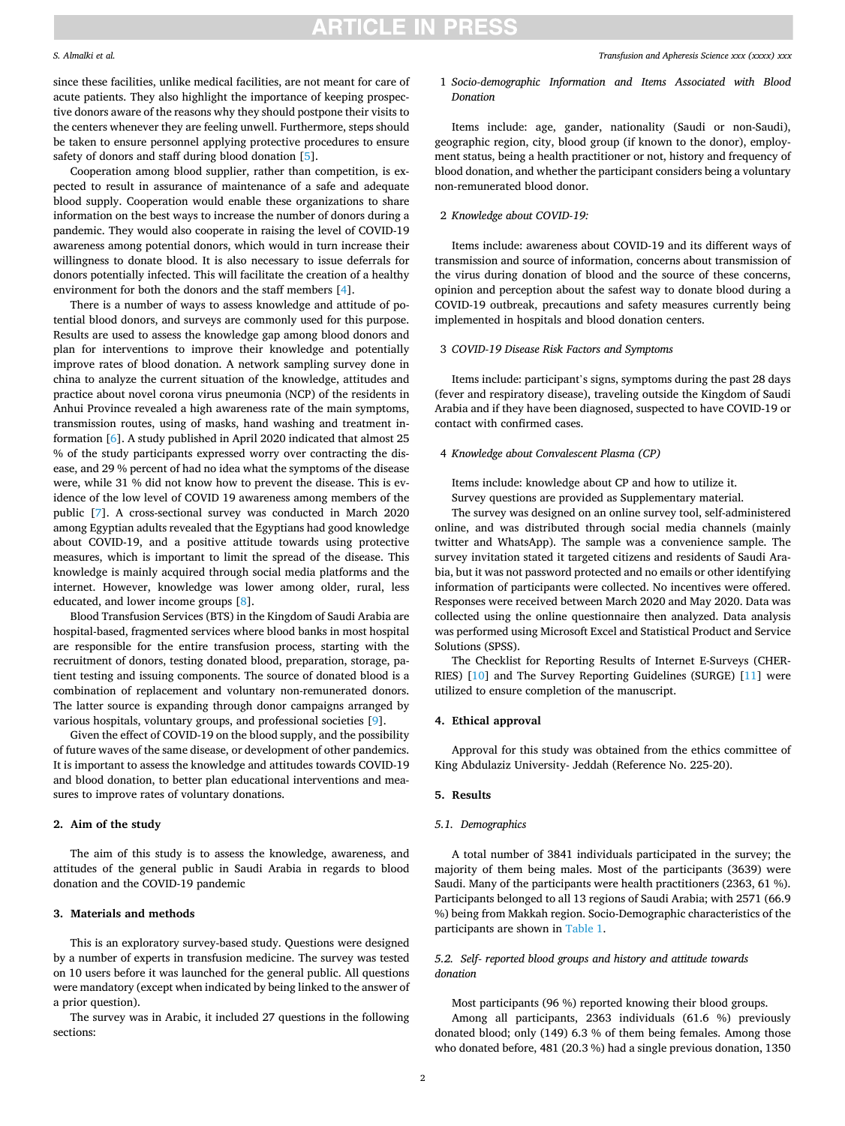# **ARTICLE IN PRESS**

### *S. Almalki et al.*

since these facilities, unlike medical facilities, are not meant for care of acute patients. They also highlight the importance of keeping prospective donors aware of the reasons why they should postpone their visits to the centers whenever they are feeling unwell. Furthermore, steps should be taken to ensure personnel applying protective procedures to ensure safety of donors and staff during blood donation [\[5\]](#page-4-0).

Cooperation among blood supplier, rather than competition, is expected to result in assurance of maintenance of a safe and adequate blood supply. Cooperation would enable these organizations to share information on the best ways to increase the number of donors during a pandemic. They would also cooperate in raising the level of COVID-19 awareness among potential donors, which would in turn increase their willingness to donate blood. It is also necessary to issue deferrals for donors potentially infected. This will facilitate the creation of a healthy environment for both the donors and the staff members [\[4\]](#page-4-0).

There is a number of ways to assess knowledge and attitude of potential blood donors, and surveys are commonly used for this purpose. Results are used to assess the knowledge gap among blood donors and plan for interventions to improve their knowledge and potentially improve rates of blood donation. A network sampling survey done in china to analyze the current situation of the knowledge, attitudes and practice about novel corona virus pneumonia (NCP) of the residents in Anhui Province revealed a high awareness rate of the main symptoms, transmission routes, using of masks, hand washing and treatment information [[6](#page-4-0)]. A study published in April 2020 indicated that almost 25 % of the study participants expressed worry over contracting the disease, and 29 % percent of had no idea what the symptoms of the disease were, while 31 % did not know how to prevent the disease. This is evidence of the low level of COVID 19 awareness among members of the public [\[7\]](#page-4-0). A cross-sectional survey was conducted in March 2020 among Egyptian adults revealed that the Egyptians had good knowledge about COVID-19, and a positive attitude towards using protective measures, which is important to limit the spread of the disease. This knowledge is mainly acquired through social media platforms and the internet. However, knowledge was lower among older, rural, less educated, and lower income groups [\[8\]](#page-4-0).

Blood Transfusion Services (BTS) in the Kingdom of Saudi Arabia are hospital-based, fragmented services where blood banks in most hospital are responsible for the entire transfusion process, starting with the recruitment of donors, testing donated blood, preparation, storage, patient testing and issuing components. The source of donated blood is a combination of replacement and voluntary non-remunerated donors. The latter source is expanding through donor campaigns arranged by various hospitals, voluntary groups, and professional societies [\[9\]](#page-4-0).

Given the effect of COVID-19 on the blood supply, and the possibility of future waves of the same disease, or development of other pandemics. It is important to assess the knowledge and attitudes towards COVID-19 and blood donation, to better plan educational interventions and measures to improve rates of voluntary donations.

### **2. Aim of the study**

The aim of this study is to assess the knowledge, awareness, and attitudes of the general public in Saudi Arabia in regards to blood donation and the COVID-19 pandemic

### **3. Materials and methods**

This is an exploratory survey-based study. Questions were designed by a number of experts in transfusion medicine. The survey was tested on 10 users before it was launched for the general public. All questions were mandatory (except when indicated by being linked to the answer of a prior question).

The survey was in Arabic, it included 27 questions in the following sections:

# 1 *Socio-demographic Information and Items Associated with Blood Donation*

Items include: age, gander, nationality (Saudi or non-Saudi), geographic region, city, blood group (if known to the donor), employment status, being a health practitioner or not, history and frequency of blood donation, and whether the participant considers being a voluntary non-remunerated blood donor.

## 2 *Knowledge about COVID-19:*

Items include: awareness about COVID-19 and its different ways of transmission and source of information, concerns about transmission of the virus during donation of blood and the source of these concerns, opinion and perception about the safest way to donate blood during a COVID-19 outbreak, precautions and safety measures currently being implemented in hospitals and blood donation centers.

## 3 *COVID-19 Disease Risk Factors and Symptoms*

Items include: participant's signs, symptoms during the past 28 days (fever and respiratory disease), traveling outside the Kingdom of Saudi Arabia and if they have been diagnosed, suspected to have COVID-19 or contact with confirmed cases.

## 4 *Knowledge about Convalescent Plasma (CP)*

Items include: knowledge about CP and how to utilize it.

Survey questions are provided as Supplementary material.

The survey was designed on an online survey tool, self-administered online, and was distributed through social media channels (mainly twitter and WhatsApp). The sample was a convenience sample. The survey invitation stated it targeted citizens and residents of Saudi Arabia, but it was not password protected and no emails or other identifying information of participants were collected. No incentives were offered. Responses were received between March 2020 and May 2020. Data was collected using the online questionnaire then analyzed. Data analysis was performed using Microsoft Excel and Statistical Product and Service Solutions (SPSS).

The Checklist for Reporting Results of Internet E-Surveys (CHER-RIES) [[10\]](#page-4-0) and The Survey Reporting Guidelines (SURGE) [[11\]](#page-4-0) were utilized to ensure completion of the manuscript.

# **4. Ethical approval**

Approval for this study was obtained from the ethics committee of King Abdulaziz University- Jeddah (Reference No. 225-20).

## **5. Results**

## *5.1. Demographics*

A total number of 3841 individuals participated in the survey; the majority of them being males. Most of the participants (3639) were Saudi. Many of the participants were health practitioners (2363, 61 %). Participants belonged to all 13 regions of Saudi Arabia; with 2571 (66.9 %) being from Makkah region. Socio-Demographic characteristics of the participants are shown in [Table 1](#page-2-0).

## *5.2. Self- reported blood groups and history and attitude towards donation*

Most participants (96 %) reported knowing their blood groups. Among all participants, 2363 individuals (61.6 %) previously donated blood; only (149) 6.3 % of them being females. Among those who donated before, 481 (20.3 %) had a single previous donation, 1350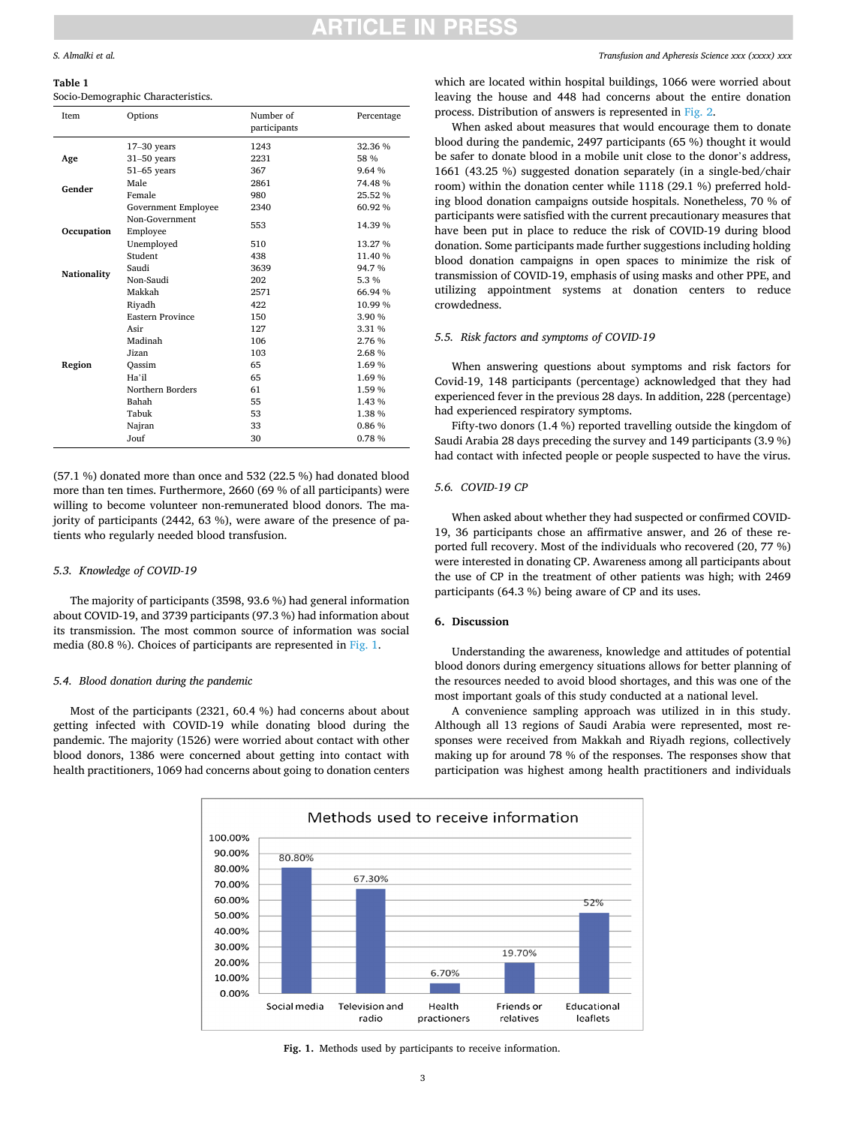# TICI E IN PRE

### <span id="page-2-0"></span>*S. Almalki et al.*

**Table 1** 

# Socio-Demographic Characteristics.

| Item        | Options                 | Number of<br>participants | Percentage |
|-------------|-------------------------|---------------------------|------------|
| Age         | $17-30$ years           | 1243                      | 32.36 %    |
|             | $31-50$ years           | 2231                      | 58 %       |
|             | $51-65$ years           | 367                       | 9.64 %     |
| Gender      | Male                    | 2861                      | 74.48%     |
|             | Female                  | 980                       | 25.52 %    |
|             | Government Employee     | 2340                      | 60.92%     |
| Occupation  | Non-Government          | 553                       | 14.39 %    |
|             | Employee                |                           |            |
|             | Unemployed              | 510                       | 13.27 %    |
|             | Student                 | 438                       | 11.40 %    |
| Nationality | Saudi                   | 3639                      | 94.7%      |
|             | Non-Saudi               | 202                       | 5.3 %      |
|             | Makkah                  | 2571                      | 66.94 %    |
| Region      | Riyadh                  | 422                       | 10.99%     |
|             | <b>Eastern Province</b> | 150                       | 3.90 %     |
|             | Asir                    | 127                       | 3.31 %     |
|             | Madinah                 | 106                       | 2.76 %     |
|             | Jizan                   | 103                       | 2.68%      |
|             | Oassim                  | 65                        | 1.69%      |
|             | Ha'il                   | 65                        | 1.69%      |
|             | Northern Borders        | 61                        | 1.59%      |
|             | Bahah                   | 55                        | 1.43 %     |
|             | Tabuk                   | 53                        | 1.38 %     |
|             | Najran                  | 33                        | 0.86 %     |
|             | Jouf                    | 30                        | 0.78%      |

(57.1 %) donated more than once and 532 (22.5 %) had donated blood more than ten times. Furthermore, 2660 (69 % of all participants) were willing to become volunteer non-remunerated blood donors. The majority of participants (2442, 63 %), were aware of the presence of patients who regularly needed blood transfusion.

## *5.3. Knowledge of COVID-19*

The majority of participants (3598, 93.6 %) had general information about COVID-19, and 3739 participants (97.3 %) had information about its transmission. The most common source of information was social media (80.8 %). Choices of participants are represented in Fig. 1.

### *5.4. Blood donation during the pandemic*

Most of the participants (2321, 60.4 %) had concerns about about getting infected with COVID-19 while donating blood during the pandemic. The majority (1526) were worried about contact with other blood donors, 1386 were concerned about getting into contact with health practitioners, 1069 had concerns about going to donation centers

> 100.00% 90,00%

> > 80.00%

**20.00%** 60.00%

50.00% 40.00% 30.00%

20.00%

10.00% 0.00% 80.80%

67.30%

*Transfusion and Apheresis Science xxx (xxxx) xxx*

which are located within hospital buildings, 1066 were worried about leaving the house and 448 had concerns about the entire donation process. Distribution of answers is represented in [Fig. 2.](#page-3-0)

When asked about measures that would encourage them to donate blood during the pandemic, 2497 participants (65 %) thought it would be safer to donate blood in a mobile unit close to the donor's address, 1661 (43.25 %) suggested donation separately (in a single-bed/chair room) within the donation center while 1118 (29.1 %) preferred holding blood donation campaigns outside hospitals. Nonetheless, 70 % of participants were satisfied with the current precautionary measures that have been put in place to reduce the risk of COVID-19 during blood donation. Some participants made further suggestions including holding blood donation campaigns in open spaces to minimize the risk of transmission of COVID-19, emphasis of using masks and other PPE, and utilizing appointment systems at donation centers to reduce crowdedness.

# *5.5. Risk factors and symptoms of COVID-19*

When answering questions about symptoms and risk factors for Covid-19, 148 participants (percentage) acknowledged that they had experienced fever in the previous 28 days. In addition, 228 (percentage) had experienced respiratory symptoms.

Fifty-two donors (1.4 %) reported travelling outside the kingdom of Saudi Arabia 28 days preceding the survey and 149 participants (3.9 %) had contact with infected people or people suspected to have the virus.

## *5.6. COVID-19 CP*

When asked about whether they had suspected or confirmed COVID-19, 36 participants chose an affirmative answer, and 26 of these reported full recovery. Most of the individuals who recovered (20, 77 %) were interested in donating CP. Awareness among all participants about the use of CP in the treatment of other patients was high; with 2469 participants (64.3 %) being aware of CP and its uses.

## **6. Discussion**

Understanding the awareness, knowledge and attitudes of potential blood donors during emergency situations allows for better planning of the resources needed to avoid blood shortages, and this was one of the most important goals of this study conducted at a national level.

A convenience sampling approach was utilized in in this study. Although all 13 regions of Saudi Arabia were represented, most responses were received from Makkah and Riyadh regions, collectively making up for around 78 % of the responses. The responses show that participation was highest among health practitioners and individuals

52%

19.70%



Methods used to receive information

6.70%

**Fig. 1.** Methods used by participants to receive information.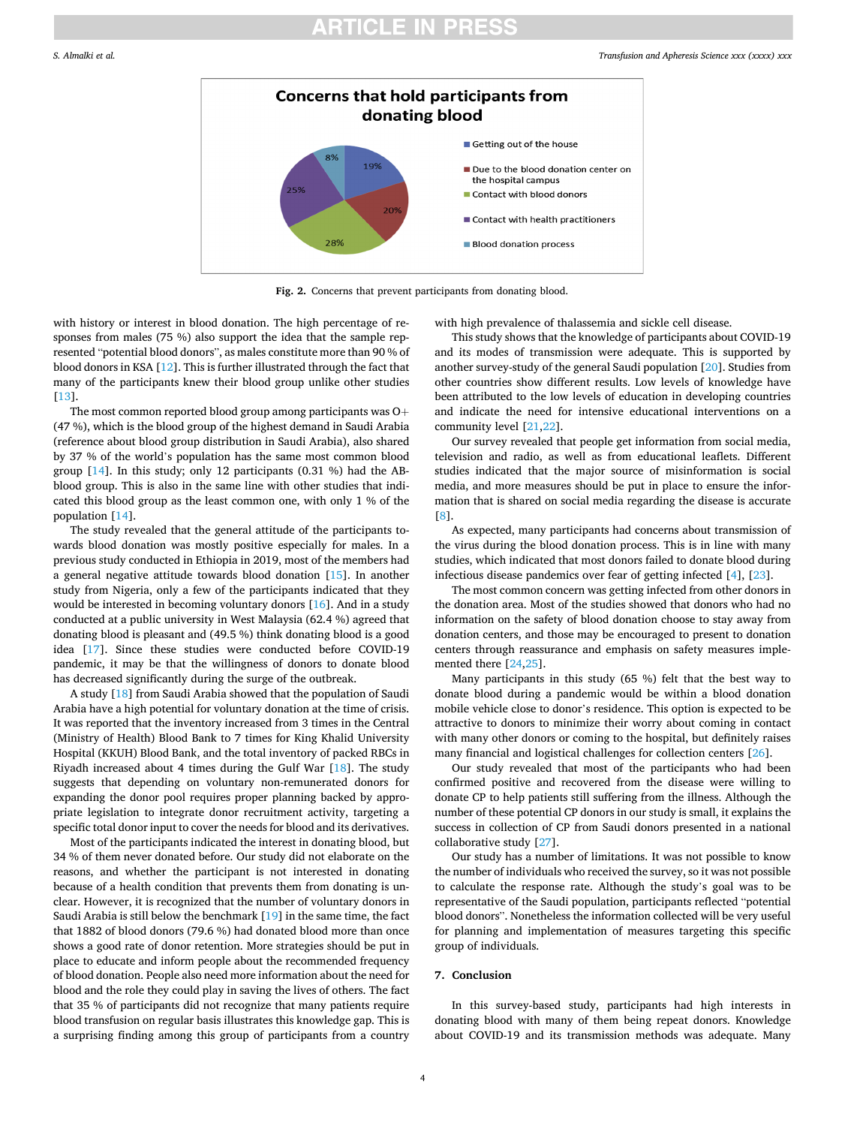# **ARTICLE IN PRESS**

<span id="page-3-0"></span>

**Fig. 2.** Concerns that prevent participants from donating blood.

with history or interest in blood donation. The high percentage of responses from males (75 %) also support the idea that the sample represented "potential blood donors", as males constitute more than 90 % of blood donors in KSA [\[12](#page-4-0)]. This is further illustrated through the fact that many of the participants knew their blood group unlike other studies [[13\]](#page-4-0).

The most common reported blood group among participants was O+ (47 %), which is the blood group of the highest demand in Saudi Arabia (reference about blood group distribution in Saudi Arabia), also shared by 37 % of the world's population has the same most common blood group [[14\]](#page-4-0). In this study; only 12 participants (0.31 %) had the ABblood group. This is also in the same line with other studies that indicated this blood group as the least common one, with only 1 % of the population [[14\]](#page-4-0).

The study revealed that the general attitude of the participants towards blood donation was mostly positive especially for males. In a previous study conducted in Ethiopia in 2019, most of the members had a general negative attitude towards blood donation [[15\]](#page-4-0). In another study from Nigeria, only a few of the participants indicated that they would be interested in becoming voluntary donors [[16\]](#page-4-0). And in a study conducted at a public university in West Malaysia (62.4 %) agreed that donating blood is pleasant and (49.5 %) think donating blood is a good idea [[17](#page-4-0)]. Since these studies were conducted before COVID-19 pandemic, it may be that the willingness of donors to donate blood has decreased significantly during the surge of the outbreak.

A study [\[18](#page-4-0)] from Saudi Arabia showed that the population of Saudi Arabia have a high potential for voluntary donation at the time of crisis. It was reported that the inventory increased from 3 times in the Central (Ministry of Health) Blood Bank to 7 times for King Khalid University Hospital (KKUH) Blood Bank, and the total inventory of packed RBCs in Riyadh increased about 4 times during the Gulf War [\[18](#page-4-0)]. The study suggests that depending on voluntary non-remunerated donors for expanding the donor pool requires proper planning backed by appropriate legislation to integrate donor recruitment activity, targeting a specific total donor input to cover the needs for blood and its derivatives.

Most of the participants indicated the interest in donating blood, but 34 % of them never donated before. Our study did not elaborate on the reasons, and whether the participant is not interested in donating because of a health condition that prevents them from donating is unclear. However, it is recognized that the number of voluntary donors in Saudi Arabia is still below the benchmark [\[19](#page-4-0)] in the same time, the fact that 1882 of blood donors (79.6 %) had donated blood more than once shows a good rate of donor retention. More strategies should be put in place to educate and inform people about the recommended frequency of blood donation. People also need more information about the need for blood and the role they could play in saving the lives of others. The fact that 35 % of participants did not recognize that many patients require blood transfusion on regular basis illustrates this knowledge gap. This is a surprising finding among this group of participants from a country

with high prevalence of thalassemia and sickle cell disease.

This study shows that the knowledge of participants about COVID-19 and its modes of transmission were adequate. This is supported by another survey-study of the general Saudi population [\[20](#page-4-0)]. Studies from other countries show different results. Low levels of knowledge have been attributed to the low levels of education in developing countries and indicate the need for intensive educational interventions on a community level [[21](#page-4-0),[22\]](#page-4-0).

Our survey revealed that people get information from social media, television and radio, as well as from educational leaflets. Different studies indicated that the major source of misinformation is social media, and more measures should be put in place to ensure the information that is shared on social media regarding the disease is accurate [[8](#page-4-0)].

As expected, many participants had concerns about transmission of the virus during the blood donation process. This is in line with many studies, which indicated that most donors failed to donate blood during infectious disease pandemics over fear of getting infected [\[4\]](#page-4-0), [\[23\]](#page-4-0).

The most common concern was getting infected from other donors in the donation area. Most of the studies showed that donors who had no information on the safety of blood donation choose to stay away from donation centers, and those may be encouraged to present to donation centers through reassurance and emphasis on safety measures implemented there [\[24,25](#page-4-0)].

Many participants in this study (65 %) felt that the best way to donate blood during a pandemic would be within a blood donation mobile vehicle close to donor's residence. This option is expected to be attractive to donors to minimize their worry about coming in contact with many other donors or coming to the hospital, but definitely raises many financial and logistical challenges for collection centers [\[26](#page-4-0)].

Our study revealed that most of the participants who had been confirmed positive and recovered from the disease were willing to donate CP to help patients still suffering from the illness. Although the number of these potential CP donors in our study is small, it explains the success in collection of CP from Saudi donors presented in a national collaborative study [[27\]](#page-4-0).

Our study has a number of limitations. It was not possible to know the number of individuals who received the survey, so it was not possible to calculate the response rate. Although the study's goal was to be representative of the Saudi population, participants reflected "potential blood donors". Nonetheless the information collected will be very useful for planning and implementation of measures targeting this specific group of individuals.

## **7. Conclusion**

In this survey-based study, participants had high interests in donating blood with many of them being repeat donors. Knowledge about COVID-19 and its transmission methods was adequate. Many